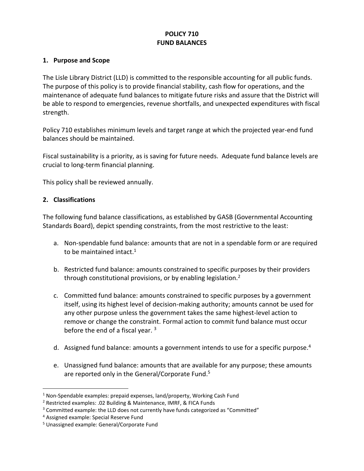# **POLICY 710 FUND BALANCES**

## **1. Purpose and Scope**

The Lisle Library District (LLD) is committed to the responsible accounting for all public funds. The purpose of this policy is to provide financial stability, cash flow for operations, and the maintenance of adequate fund balances to mitigate future risks and assure that the District will be able to respond to emergencies, revenue shortfalls, and unexpected expenditures with fiscal strength.

Policy 710 establishes minimum levels and target range at which the projected year-end fund balances should be maintained.

Fiscal sustainability is a priority, as is saving for future needs. Adequate fund balance levels are crucial to long-term financial planning.

This policy shall be reviewed annually.

## **2. Classifications**

The following fund balance classifications, as established by GASB (Governmental Accounting Standards Board), depict spending constraints, from the most restrictive to the least:

- a. Non-spendable fund balance: amounts that are not in a spendable form or are required to be maintained intact.<sup>1</sup>
- b. Restricted fund balance: amounts constrained to specific purposes by their providers through constitutional provisions, or by enabling legislation.<sup>2</sup>
- c. Committed fund balance: amounts constrained to specific purposes by a government itself, using its highest level of decision-making authority; amounts cannot be used for any other purpose unless the government takes the same highest-level action to remove or change the constraint. Formal action to commit fund balance must occur before the end of a fiscal year.  $3$
- d. Assigned fund balance: amounts a government intends to use for a specific purpose.<sup>4</sup>
- e. Unassigned fund balance: amounts that are available for any purpose; these amounts are reported only in the General/Corporate Fund.<sup>5</sup>

 $\overline{a}$ 

 $1$  Non-Spendable examples: prepaid expenses, land/property, Working Cash Fund

<sup>2</sup> Restricted examples: .02 Building & Maintenance, IMRF, & FICA Funds

<sup>&</sup>lt;sup>3</sup> Committed example: the LLD does not currently have funds categorized as "Committed"

<sup>4</sup> Assigned example: Special Reserve Fund

<sup>5</sup> Unassigned example: General/Corporate Fund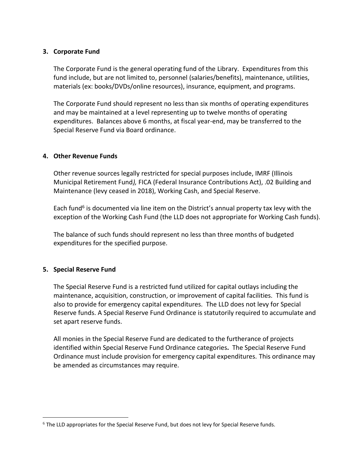#### **3. Corporate Fund**

The Corporate Fund is the general operating fund of the Library. Expenditures from this fund include, but are not limited to, personnel (salaries/benefits), maintenance, utilities, materials (ex: books/DVDs/online resources), insurance, equipment, and programs.

The Corporate Fund should represent no less than six months of operating expenditures and may be maintained at a level representing up to twelve months of operating expenditures. Balances above 6 months, at fiscal year-end, may be transferred to the Special Reserve Fund via Board ordinance.

## **4. Other Revenue Funds**

Other revenue sources legally restricted for special purposes include, IMRF (Illinois Municipal Retirement Fund*),* FICA (Federal Insurance Contributions Act), .02 Building and Maintenance (levy ceased in 2018), Working Cash, and Special Reserve.

Each fund<sup>6</sup> is documented via line item on the District's annual property tax levy with the exception of the Working Cash Fund (the LLD does not appropriate for Working Cash funds).

The balance of such funds should represent no less than three months of budgeted expenditures for the specified purpose.

## **5. Special Reserve Fund**

 $\overline{a}$ 

The Special Reserve Fund is a restricted fund utilized for capital outlays including the maintenance, acquisition, construction, or improvement of capital facilities. This fund is also to provide for emergency capital expenditures. The LLD does not levy for Special Reserve funds. A Special Reserve Fund Ordinance is statutorily required to accumulate and set apart reserve funds.

All monies in the Special Reserve Fund are dedicated to the furtherance of projects identified within Special Reserve Fund Ordinance categories**.** The Special Reserve Fund Ordinance must include provision for emergency capital expenditures. This ordinance may be amended as circumstances may require.

<sup>6</sup> The LLD appropriates for the Special Reserve Fund, but does not levy for Special Reserve funds.